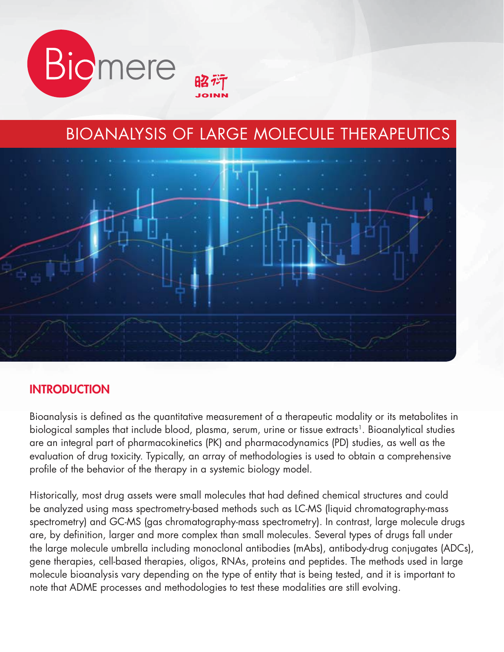

# BIOANALYSIS OF LARGE MOLECULE THERAPEUTICS



#### **INTRODUCTION**

Bioanalysis is defined as the quantitative measurement of a therapeutic modality or its metabolites in biological samples that include blood, plasma, serum, urine or tissue extracts<sup>1</sup>. Bioanalytical studies are an integral part of pharmacokinetics (PK) and pharmacodynamics (PD) studies, as well as the evaluation of drug toxicity. Typically, an array of methodologies is used to obtain a comprehensive profile of the behavior of the therapy in a systemic biology model.

Historically, most drug assets were small molecules that had defined chemical structures and could be analyzed using mass spectrometry-based methods such as LC-MS (liquid chromatography-mass spectrometry) and GC-MS (gas chromatography-mass spectrometry). In contrast, large molecule drugs are, by definition, larger and more complex than small molecules. Several types of drugs fall under the large molecule umbrella including monoclonal antibodies (mAbs), antibody-drug conjugates (ADCs), gene therapies, cell-based therapies, oligos, RNAs, proteins and peptides. The methods used in large molecule bioanalysis vary depending on the type of entity that is being tested, and it is important to note that ADME processes and methodologies to test these modalities are still evolving.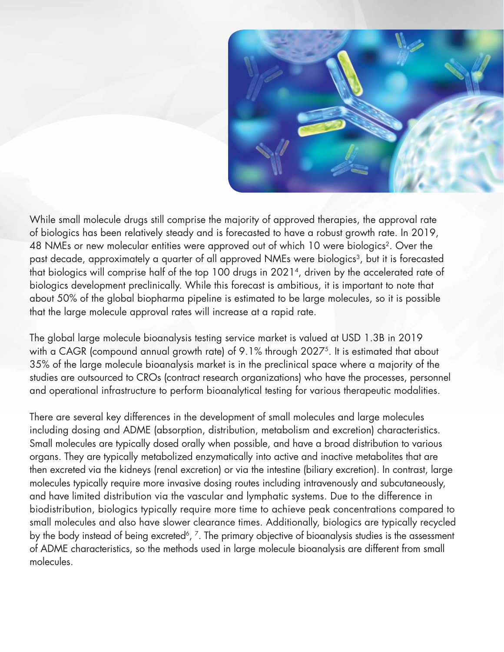

While small molecule drugs still comprise the majority of approved therapies, the approval rate of biologics has been relatively steady and is forecasted to have a robust growth rate. In 2019, 48 NMEs or new molecular entities were approved out of which 10 were biologics<sup>2</sup>. Over the past decade, approximately a quarter of all approved NMEs were biologics<sup>3</sup>, but it is forecasted that biologics will comprise half of the top 100 drugs in 2021<sup>4</sup>, driven by the accelerated rate of biologics development preclinically. While this forecast is ambitious, it is important to note that about 50% of the global biopharma pipeline is estimated to be large molecules, so it is possible that the large molecule approval rates will increase at a rapid rate.

The global large molecule bioanalysis testing service market is valued at USD 1.3B in 2019 with a CAGR (compound annual growth rate) of 9.1% through 2027<sup>5</sup>. It is estimated that about 35% of the large molecule bioanalysis market is in the preclinical space where a majority of the studies are outsourced to CROs (contract research organizations) who have the processes, personnel and operational infrastructure to perform bioanalytical testing for various therapeutic modalities.

There are several key differences in the development of small molecules and large molecules including dosing and ADME (absorption, distribution, metabolism and excretion) characteristics. Small molecules are typically dosed orally when possible, and have a broad distribution to various organs. They are typically metabolized enzymatically into active and inactive metabolites that are then excreted via the kidneys (renal excretion) or via the intestine (biliary excretion). In contrast, large molecules typically require more invasive dosing routes including intravenously and subcutaneously, and have limited distribution via the vascular and lymphatic systems. Due to the difference in biodistribution, biologics typically require more time to achieve peak concentrations compared to small molecules and also have slower clearance times. Additionally, biologics are typically recycled by the body instead of being excreted<sup>6</sup>, <sup>7</sup>. The primary objective of bioanalysis studies is the assessment of ADME characteristics, so the methods used in large molecule bioanalysis are different from small molecules.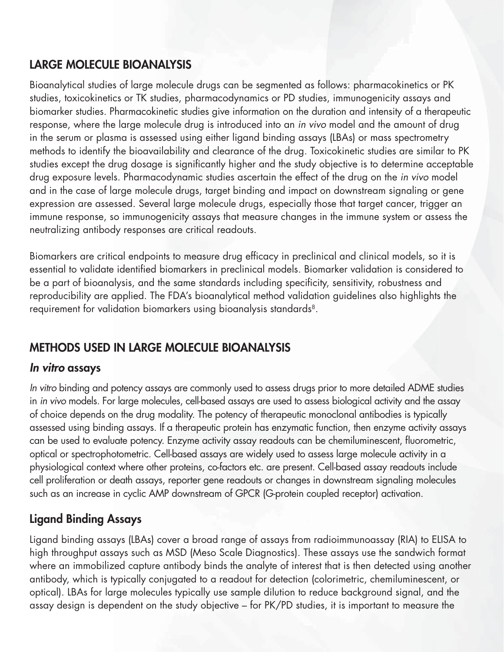### **LARGE MOLECULE BIOANALYSIS**

Bioanalytical studies of large molecule drugs can be segmented as follows: pharmacokinetics or PK studies, toxicokinetics or TK studies, pharmacodynamics or PD studies, immunogenicity assays and biomarker studies. Pharmacokinetic studies give information on the duration and intensity of a therapeutic response, where the large molecule drug is introduced into an in vivo model and the amount of drug in the serum or plasma is assessed using either ligand binding assays (LBAs) or mass spectrometry methods to identify the bioavailability and clearance of the drug. Toxicokinetic studies are similar to PK studies except the drug dosage is significantly higher and the study objective is to determine acceptable drug exposure levels. Pharmacodynamic studies ascertain the effect of the drug on the in vivo model and in the case of large molecule drugs, target binding and impact on downstream signaling or gene expression are assessed. Several large molecule drugs, especially those that target cancer, trigger an immune response, so immunogenicity assays that measure changes in the immune system or assess the neutralizing antibody responses are critical readouts.

Biomarkers are critical endpoints to measure drug efficacy in preclinical and clinical models, so it is essential to validate identified biomarkers in preclinical models. Biomarker validation is considered to be a part of bioanalysis, and the same standards including specificity, sensitivity, robustness and reproducibility are applied. The FDA's bioanalytical method validation guidelines also highlights the requirement for validation biomarkers using bioanalysis standards<sup>8</sup>.

# **METHODS USED IN LARGE MOLECULE BIOANALYSIS**

### *In vitro* **assays**

In vitro binding and potency assays are commonly used to assess drugs prior to more detailed ADME studies in in vivo models. For large molecules, cell-based assays are used to assess biological activity and the assay of choice depends on the drug modality. The potency of therapeutic monoclonal antibodies is typically assessed using binding assays. If a therapeutic protein has enzymatic function, then enzyme activity assays can be used to evaluate potency. Enzyme activity assay readouts can be chemiluminescent, fluorometric, optical or spectrophotometric. Cell-based assays are widely used to assess large molecule activity in a physiological context where other proteins, co-factors etc. are present. Cell-based assay readouts include cell proliferation or death assays, reporter gene readouts or changes in downstream signaling molecules such as an increase in cyclic AMP downstream of GPCR (G-protein coupled receptor) activation.

# **Ligand Binding Assays**

Ligand binding assays (LBAs) cover a broad range of assays from radioimmunoassay (RIA) to ELISA to high throughput assays such as MSD (Meso Scale Diagnostics). These assays use the sandwich format where an immobilized capture antibody binds the analyte of interest that is then detected using another antibody, which is typically conjugated to a readout for detection (colorimetric, chemiluminescent, or optical). LBAs for large molecules typically use sample dilution to reduce background signal, and the assay design is dependent on the study objective – for PK/PD studies, it is important to measure the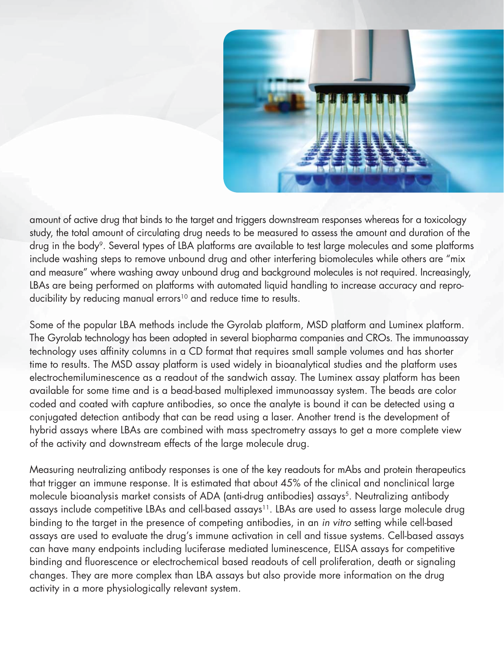

amount of active drug that binds to the target and triggers downstream responses whereas for a toxicology study, the total amount of circulating drug needs to be measured to assess the amount and duration of the drug in the body<sup>9</sup>. Several types of LBA platforms are available to test large molecules and some platforms include washing steps to remove unbound drug and other interfering biomolecules while others are "mix and measure" where washing away unbound drug and background molecules is not required. Increasingly, LBAs are being performed on platforms with automated liquid handling to increase accuracy and reproducibility by reducing manual errors<sup>10</sup> and reduce time to results.

Some of the popular LBA methods include the Gyrolab platform, MSD platform and Luminex platform. The Gyrolab technology has been adopted in several biopharma companies and CROs. The immunoassay technology uses affinity columns in a CD format that requires small sample volumes and has shorter time to results. The MSD assay platform is used widely in bioanalytical studies and the platform uses electrochemiluminescence as a readout of the sandwich assay. The Luminex assay platform has been available for some time and is a bead-based multiplexed immunoassay system. The beads are color coded and coated with capture antibodies, so once the analyte is bound it can be detected using a conjugated detection antibody that can be read using a laser. Another trend is the development of hybrid assays where LBAs are combined with mass spectrometry assays to get a more complete view of the activity and downstream effects of the large molecule drug.

Measuring neutralizing antibody responses is one of the key readouts for mAbs and protein therapeutics that trigger an immune response. It is estimated that about 45% of the clinical and nonclinical large molecule bioanalysis market consists of ADA (anti-drug antibodies) assays<sup>5</sup>. Neutralizing antibody assays include competitive LBAs and cell-based assays<sup>11</sup>. LBAs are used to assess large molecule drug binding to the target in the presence of competing antibodies, in an in vitro setting while cell-based assays are used to evaluate the drug's immune activation in cell and tissue systems. Cell-based assays can have many endpoints including luciferase mediated luminescence, ELISA assays for competitive binding and fluorescence or electrochemical based readouts of cell proliferation, death or signaling changes. They are more complex than LBA assays but also provide more information on the drug activity in a more physiologically relevant system.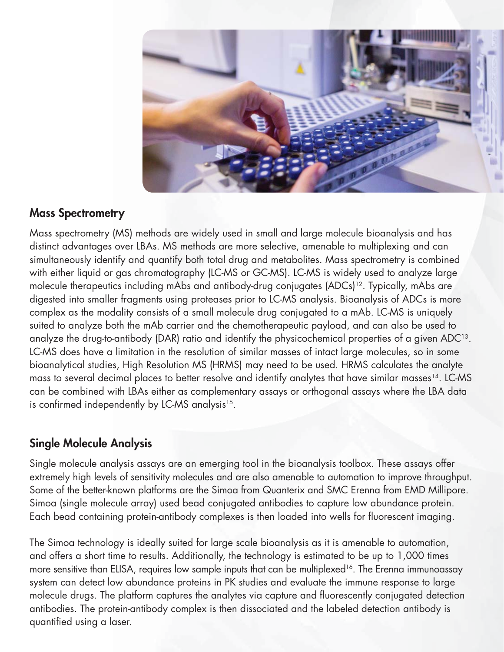

### **Mass Spectrometry**

Mass spectrometry (MS) methods are widely used in small and large molecule bioanalysis and has distinct advantages over LBAs. MS methods are more selective, amenable to multiplexing and can simultaneously identify and quantify both total drug and metabolites. Mass spectrometry is combined with either liquid or gas chromatography (LC-MS or GC-MS). LC-MS is widely used to analyze large molecule therapeutics including mAbs and antibody-drug conjugates (ADCs)<sup>12</sup>. Typically, mAbs are digested into smaller fragments using proteases prior to LC-MS analysis. Bioanalysis of ADCs is more complex as the modality consists of a small molecule drug conjugated to a mAb. LC-MS is uniquely suited to analyze both the mAb carrier and the chemotherapeutic payload, and can also be used to analyze the drug-to-antibody (DAR) ratio and identify the physicochemical properties of a given ADC<sup>13</sup>. LC-MS does have a limitation in the resolution of similar masses of intact large molecules, so in some bioanalytical studies, High Resolution MS (HRMS) may need to be used. HRMS calculates the analyte mass to several decimal places to better resolve and identify analytes that have similar masses<sup>14</sup>. LC-MS can be combined with LBAs either as complementary assays or orthogonal assays where the LBA data is confirmed independently by LC-MS analysis $15$ .

### **Single Molecule Analysis**

Single molecule analysis assays are an emerging tool in the bioanalysis toolbox. These assays offer extremely high levels of sensitivity molecules and are also amenable to automation to improve throughput. Some of the better-known platforms are the Simoa from Quanterix and SMC Erenna from EMD Millipore. Simoa (single molecule array) used bead conjugated antibodies to capture low abundance protein. Each bead containing protein-antibody complexes is then loaded into wells for fluorescent imaging.

The Simoa technology is ideally suited for large scale bioanalysis as it is amenable to automation, and offers a short time to results. Additionally, the technology is estimated to be up to 1,000 times more sensitive than ELISA, requires low sample inputs that can be multiplexed<sup>16</sup>. The Erenna immunoassay system can detect low abundance proteins in PK studies and evaluate the immune response to large molecule drugs. The platform captures the analytes via capture and fluorescently conjugated detection antibodies. The protein-antibody complex is then dissociated and the labeled detection antibody is quantified using a laser.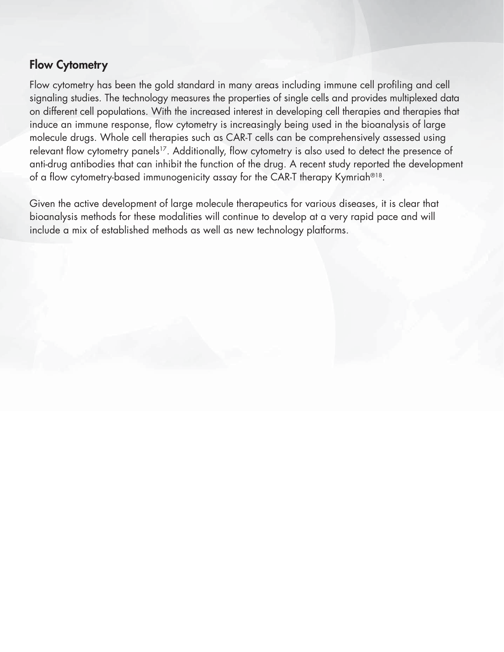#### **Flow Cytometry**

Flow cytometry has been the gold standard in many areas including immune cell profiling and cell signaling studies. The technology measures the properties of single cells and provides multiplexed data on different cell populations. With the increased interest in developing cell therapies and therapies that induce an immune response, flow cytometry is increasingly being used in the bioanalysis of large molecule drugs. Whole cell therapies such as CAR-T cells can be comprehensively assessed using relevant flow cytometry panels<sup>17</sup>. Additionally, flow cytometry is also used to detect the presence of anti-drug antibodies that can inhibit the function of the drug. A recent study reported the development of a flow cytometry-based immunogenicity assay for the CAR-T therapy Kymriah®<sup>18</sup>.

Given the active development of large molecule therapeutics for various diseases, it is clear that bioanalysis methods for these modalities will continue to develop at a very rapid pace and will include a mix of established methods as well as new technology platforms.